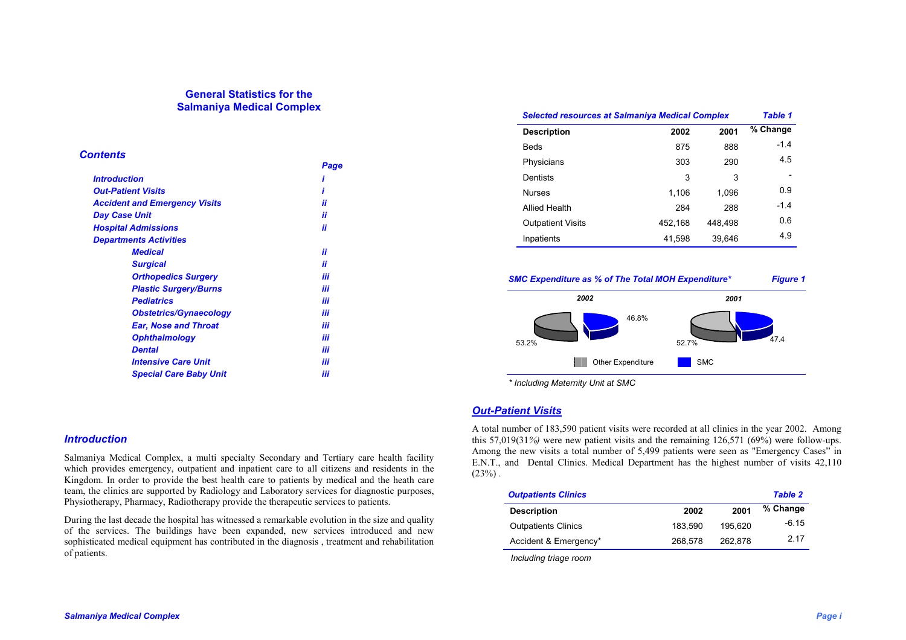# **General Statistics for the Salmaniya Medical Complex**

# *Contents*

|                                      | Page |
|--------------------------------------|------|
| Introduction                         |      |
| <b>Out-Patient Visits</b>            |      |
| <b>Accident and Emergency Visits</b> | ii   |
| Day Case Unit                        | ii   |
| <b>Hospital Admissions</b>           | ii   |
| <b>Departments Activities</b>        |      |
| <b>Medical</b>                       | ii   |
| <b>Surgical</b>                      | ii   |
| <b>Orthopedics Surgery</b>           | iii  |
| <b>Plastic Surgery/Burns</b>         | iii  |
| <b>Pediatrics</b>                    | iii  |
| <b>Obstetrics/Gynaecology</b>        | iii  |
| <b>Ear, Nose and Throat</b>          | iii  |
| <b>Ophthalmology</b>                 | iii  |
| <b>Dental</b>                        | iii  |
| <b>Intensive Care Unit</b>           | iii  |
| <b>Special Care Baby Unit</b>        | iii  |
|                                      |      |

## *Introduction*

Salmaniya Medical Complex, a multi specialty Secondary and Tertiary care health facility which provides emergency, outpatient and inpatient care to all citizens and residents in the Kingdom. In order to provide the best health care to patients by medical and the heath care team, the clinics are supported by Radiology and Laboratory services for diagnostic purposes, Physiotherapy, Pharmacy, Radiotherapy provide the therapeutic services to patients.

During the last decade the hospital has witnessed a remarkable evolution in the size and quality of the services. The buildings have been expanded, new services introduced and new sophisticated medical equipment has contributed in the diagnosis , treatment and rehabilitation of patients.

| <b>Selected resources at Salmaniya Medical Complex</b> |         | Table 1 |          |
|--------------------------------------------------------|---------|---------|----------|
| <b>Description</b>                                     | 2002    | 2001    | % Change |
| <b>Beds</b>                                            | 875     | 888     | $-1.4$   |
| Physicians                                             | 303     | 290     | 4.5      |
| Dentists                                               | 3       | 3       |          |
| <b>Nurses</b>                                          | 1.106   | 1,096   | 0.9      |
| <b>Allied Health</b>                                   | 284     | 288     | $-1.4$   |
| <b>Outpatient Visits</b>                               | 452,168 | 448,498 | 0.6      |
| Inpatients                                             | 41,598  | 39,646  | 4.9      |

#### *SMC Expenditure as % of The Total MOH Expenditure\* Figure 1*



*\* Including Maternity Unit at SMC* 

# *Out-Patient Visits*

A total number of 183,590 patient visits were recorded at all clinics in the year 2002. Among this 57,019(31*%)* were new patient visits and the remaining 126,571 (69%) were follow-ups. Among the new visits a total number of 5,499 patients were seen as "Emergency Cases" in E.N.T., and Dental Clinics. Medical Department has the highest number of visits 42,110  $(23%)$ .

|         |         | <b>Table 2</b> |
|---------|---------|----------------|
| 2002    | 2001    | % Change       |
| 183.590 | 195.620 | $-6.15$        |
| 268.578 | 262.878 | 2.17           |
|         |         |                |

 *Including triage room*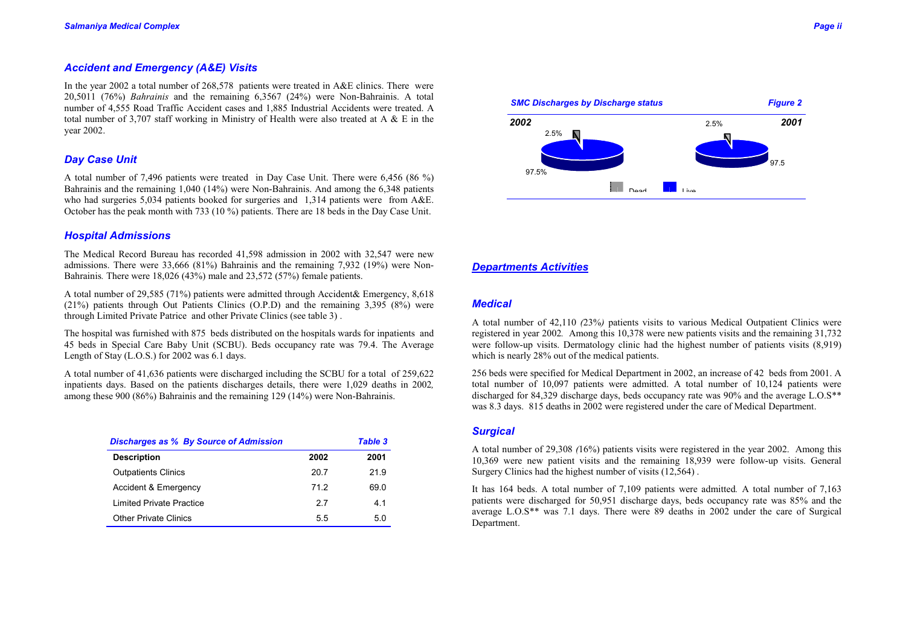# *Accident and Emergency (A&E) Visits*

In the year 2002 a total number of 268,578 patients were treated in A&E clinics. There were 20,5011 (76%) *Bahrainis* and the remaining 6,3567 (24%) were Non-Bahrainis. A total number of 4,555 Road Traffic Accident cases and 1,885 Industrial Accidents were treated. A total number of 3,707 staff working in Ministry of Health were also treated at A  $\&$  E in the year 2002.

## *Day Case Unit*

A total number of 7,496 patients were treated in Day Case Unit. There were 6,456 (86 %) Bahrainis and the remaining 1,040 (14%) were Non-Bahrainis. And among the 6,348 patients who had surgeries 5,034 patients booked for surgeries and 1,314 patients were from A&E. October has the peak month with 733 (10 %) patients. There are 18 beds in the Day Case Unit.

#### *Hospital Admissions*

The Medical Record Bureau has recorded 41,598 admission in 2002 with 32,547 were new admissions. There were 33,666 (81%) Bahrainis and the remaining 7,932 (19%) were Non-Bahrainis*.* There were 18,026 (43%) male and 23,572 (57%) female patients.

A total number of 29,585 (71%) patients were admitted through Accident& Emergency, 8,618 (21%) patients through Out Patients Clinics (O.P.D) and the remaining 3,395 (8%) were through Limited Private Patrice and other Private Clinics (see table 3) .

The hospital was furnished with 875 beds distributed on the hospitals wards for inpatients and 45 beds in Special Care Baby Unit (SCBU). Beds occupancy rate was 79.4. The Average Length of Stay (L.O.S.) for 2002 was 6.1 days.

A total number of 41,636 patients were discharged including the SCBU for a total of 259,622 inpatients days. Based on the patients discharges details, there were 1,029 deaths in 2002*,* among these 900 (86%) Bahrainis and the remaining 129 (14%) were Non-Bahrainis.

| <b>Discharges as % By Source of Admission</b> |      | <b>Table 3</b> |
|-----------------------------------------------|------|----------------|
| <b>Description</b>                            | 2002 | 2001           |
| <b>Outpatients Clinics</b>                    | 20.7 | 21.9           |
| Accident & Emergency                          | 71.2 | 69.0           |
| Limited Private Practice                      | 27   | 41             |
| <b>Other Private Clinics</b>                  | 5.5  | 5.0            |



### *Departments Activities*

# *Medical*

A total number of 42,110 *(*23%*)* patients visits to various Medical Outpatient Clinics were registered in year 2002*.* Among this 10,378 were new patients visits and the remaining 31,732 were follow-up visits. Dermatology clinic had the highest number of patients visits (8,919) which is nearly 28% out of the medical patients.

256 beds were specified for Medical Department in 2002, an increase of 42 beds from 2001. A total number of 10,097 patients were admitted. A total number of 10,124 patients were discharged for 84,329 discharge days, beds occupancy rate was 90% and the average L.O.S\*\* was 8.3 days. 815 deaths in 2002 were registered under the care of Medical Department.

# *Surgical*

A total number of 29,308 *(*16%) patients visits were registered in the year 2002. Among this 10,369 were new patient visits and the remaining 18,939 were follow-up visits. General Surgery Clinics had the highest number of visits (12,564) .

It has 164 beds. A total number of 7,109 patients were admitted*.* A total number of 7,163 patients were discharged for 50,951 discharge days, beds occupancy rate was 85% and the average L.O.S\*\* was 7.1 days. There were 89 deaths in 2002 under the care of Surgical Department.